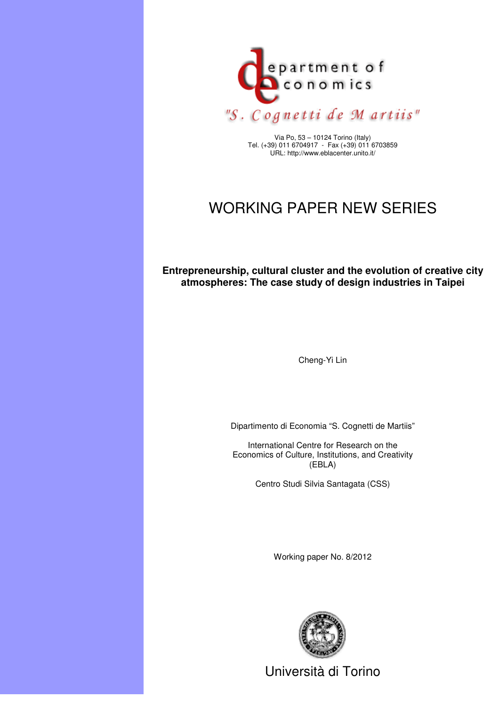

Via Po, 53 – 10124 Torino (Italy) Tel. (+39) 011 6704917 - Fax (+39) 011 6703859 URL: http://www.eblacenter.unito.it/

# WORKING PAPER NEW SERIES

**Entrepreneurship, cultural cluster and the evolution of creative city atmospheres: The case study of design industries in Taipei** 

Cheng-Yi Lin

Dipartimento di Economia "S. Cognetti de Martiis"

International Centre for Research on the Economics of Culture, Institutions, and Creativity (EBLA)

Centro Studi Silvia Santagata (CSS)

Working paper No. 8/2012



Università di Torino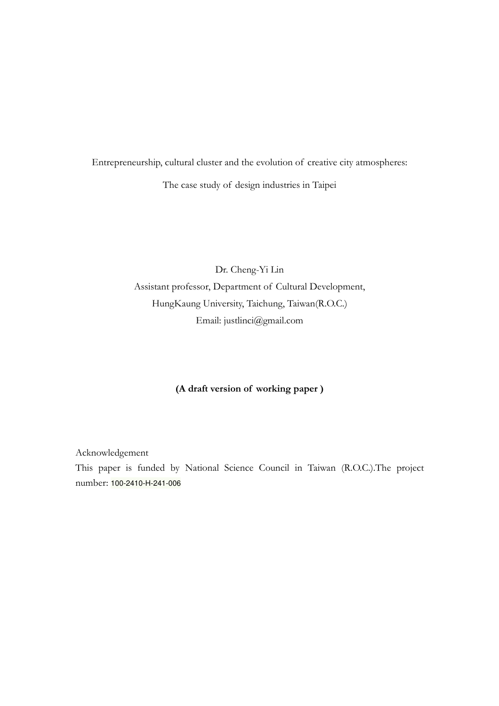Entrepreneurship, cultural cluster and the evolution of creative city atmospheres: The case study of design industries in Taipei

> Dr. Cheng-Yi Lin Assistant professor, Department of Cultural Development, HungKaung University, Taichung, Taiwan(R.O.C.) Email: justlinci@gmail.com

### (A draft version of working paper )

Acknowledgement This paper is funded by National Science Council in Taiwan (R.O.C.).The project number: 100-2410-H-241-006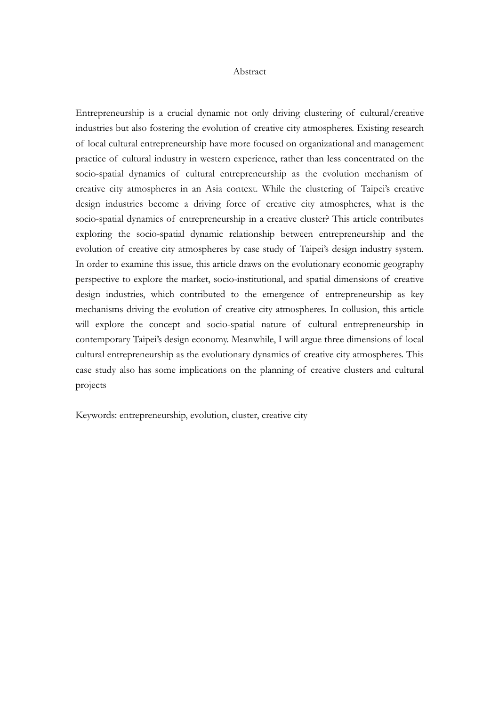#### Abstract

Entrepreneurship is a crucial dynamic not only driving clustering of cultural/creative industries but also fostering the evolution of creative city atmospheres. Existing research of local cultural entrepreneurship have more focused on organizational and management practice of cultural industry in western experience, rather than less concentrated on the socio-spatial dynamics of cultural entrepreneurship as the evolution mechanism of creative city atmospheres in an Asia context. While the clustering of Taipei's creative design industries become a driving force of creative city atmospheres, what is the socio-spatial dynamics of entrepreneurship in a creative cluster? This article contributes exploring the socio-spatial dynamic relationship between entrepreneurship and the evolution of creative city atmospheres by case study of Taipei's design industry system. In order to examine this issue, this article draws on the evolutionary economic geography perspective to explore the market, socio-institutional, and spatial dimensions of creative design industries, which contributed to the emergence of entrepreneurship as key mechanisms driving the evolution of creative city atmospheres. In collusion, this article will explore the concept and socio-spatial nature of cultural entrepreneurship in contemporary Taipei's design economy. Meanwhile, I will argue three dimensions of local cultural entrepreneurship as the evolutionary dynamics of creative city atmospheres. This case study also has some implications on the planning of creative clusters and cultural projects

Keywords: entrepreneurship, evolution, cluster, creative city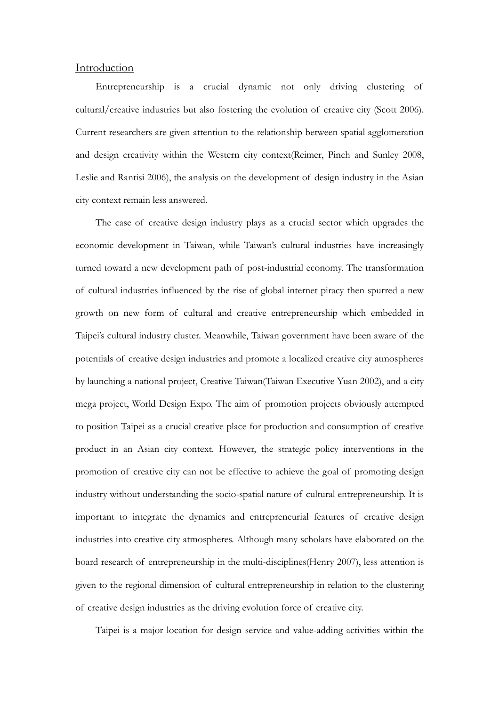### Introduction

Entrepreneurship is a crucial dynamic not only driving clustering of cultural/creative industries but also fostering the evolution of creative city (Scott 2006). Current researchers are given attention to the relationship between spatial agglomeration and design creativity within the Western city context(Reimer, Pinch and Sunley 2008, Leslie and Rantisi 2006), the analysis on the development of design industry in the Asian city context remain less answered.

The case of creative design industry plays as a crucial sector which upgrades the economic development in Taiwan, while Taiwan's cultural industries have increasingly turned toward a new development path of post-industrial economy. The transformation of cultural industries influenced by the rise of global internet piracy then spurred a new growth on new form of cultural and creative entrepreneurship which embedded in Taipei's cultural industry cluster. Meanwhile, Taiwan government have been aware of the potentials of creative design industries and promote a localized creative city atmospheres by launching a national project, Creative Taiwan(Taiwan Executive Yuan 2002), and a city mega project, World Design Expo. The aim of promotion projects obviously attempted to position Taipei as a crucial creative place for production and consumption of creative product in an Asian city context. However, the strategic policy interventions in the promotion of creative city can not be effective to achieve the goal of promoting design industry without understanding the socio-spatial nature of cultural entrepreneurship. It is important to integrate the dynamics and entrepreneurial features of creative design industries into creative city atmospheres. Although many scholars have elaborated on the board research of entrepreneurship in the multi-disciplines(Henry 2007), less attention is given to the regional dimension of cultural entrepreneurship in relation to the clustering of creative design industries as the driving evolution force of creative city.

Taipei is a major location for design service and value-adding activities within the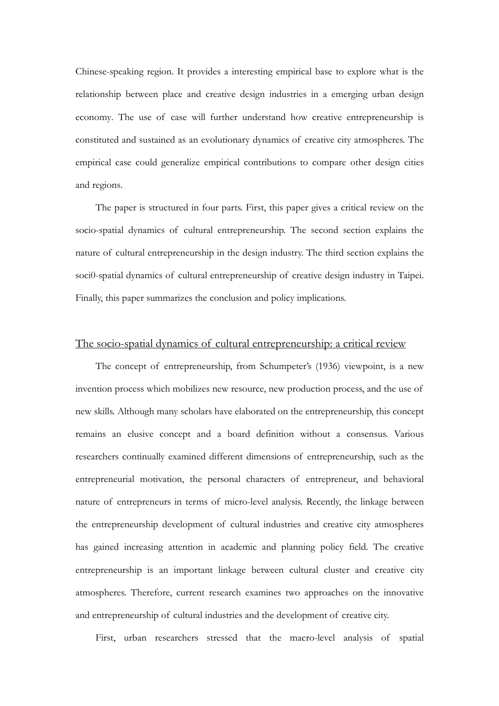Chinese-speaking region. It provides a interesting empirical base to explore what is the relationship between place and creative design industries in a emerging urban design economy. The use of case will further understand how creative entrepreneurship is constituted and sustained as an evolutionary dynamics of creative city atmospheres. The empirical case could generalize empirical contributions to compare other design cities and regions.

The paper is structured in four parts. First, this paper gives a critical review on the socio-spatial dynamics of cultural entrepreneurship. The second section explains the nature of cultural entrepreneurship in the design industry. The third section explains the soci0-spatial dynamics of cultural entrepreneurship of creative design industry in Taipei. Finally, this paper summarizes the conclusion and policy implications.

### The socio-spatial dynamics of cultural entrepreneurship: a critical review

The concept of entrepreneurship, from Schumpeter's (1936) viewpoint, is a new invention process which mobilizes new resource, new production process, and the use of new skills. Although many scholars have elaborated on the entrepreneurship, this concept remains an elusive concept and a board definition without a consensus. Various researchers continually examined different dimensions of entrepreneurship, such as the entrepreneurial motivation, the personal characters of entrepreneur, and behavioral nature of entrepreneurs in terms of micro-level analysis. Recently, the linkage between the entrepreneurship development of cultural industries and creative city atmospheres has gained increasing attention in academic and planning policy field. The creative entrepreneurship is an important linkage between cultural cluster and creative city atmospheres. Therefore, current research examines two approaches on the innovative and entrepreneurship of cultural industries and the development of creative city.

First, urban researchers stressed that the macro-level analysis of spatial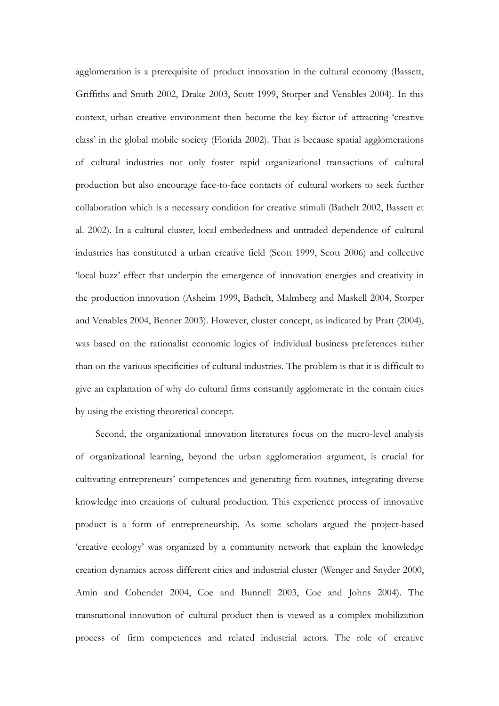agglomeration is a prerequisite of product innovation in the cultural economy (Bassett, Griffiths and Smith 2002, Drake 2003, Scott 1999, Storper and Venables 2004). In this context, urban creative environment then become the key factor of attracting 'creative class' in the global mobile society (Florida 2002). That is because spatial agglomerations of cultural industries not only foster rapid organizational transactions of cultural production but also encourage face-to-face contacts of cultural workers to seek further collaboration which is a necessary condition for creative stimuli (Bathelt 2002, Bassett et al. 2002). In a cultural cluster, local embededness and untraded dependence of cultural industries has constituted a urban creative field (Scott 1999, Scott 2006) and collective 'local buzz' effect that underpin the emergence of innovation energies and creativity in the production innovation (Asheim 1999, Bathelt, Malmberg and Maskell 2004, Storper and Venables 2004, Benner 2003). However, cluster concept, as indicated by Pratt (2004), was based on the rationalist economic logics of individual business preferences rather than on the various specificities of cultural industries. The problem is that it is difficult to give an explanation of why do cultural firms constantly agglomerate in the contain cities by using the existing theoretical concept.

Second, the organizational innovation literatures focus on the micro-level analysis of organizational learning, beyond the urban agglomeration argument, is crucial for cultivating entrepreneurs' competences and generating firm routines, integrating diverse knowledge into creations of cultural production. This experience process of innovative product is a form of entrepreneurship. As some scholars argued the project-based 'creative ecology' was organized by a community network that explain the knowledge creation dynamics across different cities and industrial cluster (Wenger and Snyder 2000, Amin and Cohendet 2004, Coe and Bunnell 2003, Coe and Johns 2004). The transnational innovation of cultural product then is viewed as a complex mobilization process of firm competences and related industrial actors. The role of creative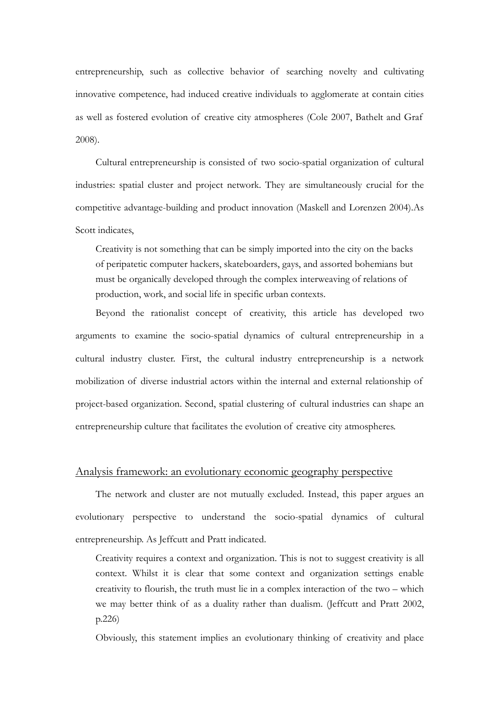entrepreneurship, such as collective behavior of searching novelty and cultivating innovative competence, had induced creative individuals to agglomerate at contain cities as well as fostered evolution of creative city atmospheres (Cole 2007, Bathelt and Graf 2008).

Cultural entrepreneurship is consisted of two socio-spatial organization of cultural industries: spatial cluster and project network. They are simultaneously crucial for the competitive advantage-building and product innovation (Maskell and Lorenzen 2004).As Scott indicates,

Creativity is not something that can be simply imported into the city on the backs of peripatetic computer hackers, skateboarders, gays, and assorted bohemians but must be organically developed through the complex interweaving of relations of production, work, and social life in specific urban contexts.

Beyond the rationalist concept of creativity, this article has developed two arguments to examine the socio-spatial dynamics of cultural entrepreneurship in a cultural industry cluster. First, the cultural industry entrepreneurship is a network mobilization of diverse industrial actors within the internal and external relationship of project-based organization. Second, spatial clustering of cultural industries can shape an entrepreneurship culture that facilitates the evolution of creative city atmospheres.

### Analysis framework: an evolutionary economic geography perspective

The network and cluster are not mutually excluded. Instead, this paper argues an evolutionary perspective to understand the socio-spatial dynamics of cultural entrepreneurship. As Jeffcutt and Pratt indicated.

Creativity requires a context and organization. This is not to suggest creativity is all context. Whilst it is clear that some context and organization settings enable creativity to flourish, the truth must lie in a complex interaction of the two – which we may better think of as a duality rather than dualism. (Jeffcutt and Pratt 2002, p.226)

Obviously, this statement implies an evolutionary thinking of creativity and place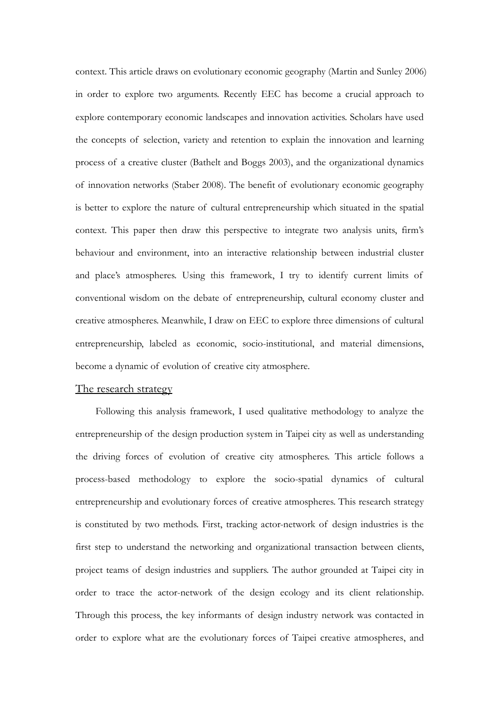context. This article draws on evolutionary economic geography (Martin and Sunley 2006) in order to explore two arguments. Recently EEC has become a crucial approach to explore contemporary economic landscapes and innovation activities. Scholars have used the concepts of selection, variety and retention to explain the innovation and learning process of a creative cluster (Bathelt and Boggs 2003), and the organizational dynamics of innovation networks (Staber 2008). The benefit of evolutionary economic geography is better to explore the nature of cultural entrepreneurship which situated in the spatial context. This paper then draw this perspective to integrate two analysis units, firm's behaviour and environment, into an interactive relationship between industrial cluster and place's atmospheres. Using this framework, I try to identify current limits of conventional wisdom on the debate of entrepreneurship, cultural economy cluster and creative atmospheres. Meanwhile, I draw on EEC to explore three dimensions of cultural entrepreneurship, labeled as economic, socio-institutional, and material dimensions, become a dynamic of evolution of creative city atmosphere.

### The research strategy

Following this analysis framework, I used qualitative methodology to analyze the entrepreneurship of the design production system in Taipei city as well as understanding the driving forces of evolution of creative city atmospheres. This article follows a process-based methodology to explore the socio-spatial dynamics of cultural entrepreneurship and evolutionary forces of creative atmospheres. This research strategy is constituted by two methods. First, tracking actor-network of design industries is the first step to understand the networking and organizational transaction between clients, project teams of design industries and suppliers. The author grounded at Taipei city in order to trace the actor-network of the design ecology and its client relationship. Through this process, the key informants of design industry network was contacted in order to explore what are the evolutionary forces of Taipei creative atmospheres, and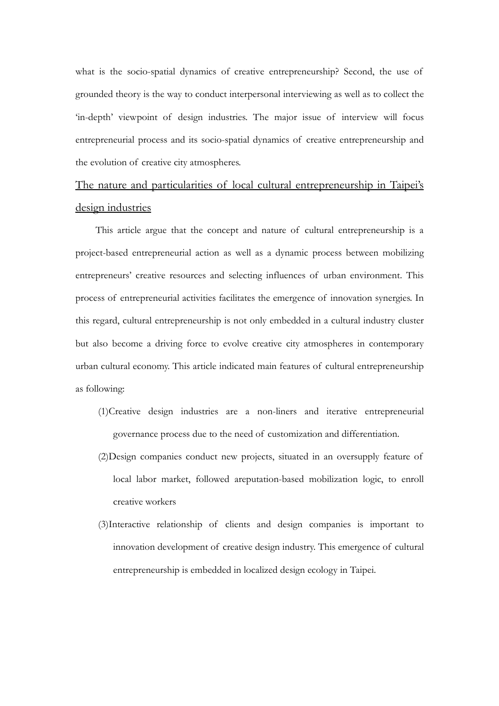what is the socio-spatial dynamics of creative entrepreneurship? Second, the use of grounded theory is the way to conduct interpersonal interviewing as well as to collect the 'in-depth' viewpoint of design industries. The major issue of interview will focus entrepreneurial process and its socio-spatial dynamics of creative entrepreneurship and the evolution of creative city atmospheres.

### The nature and particularities of local cultural entrepreneurship in Taipei's design industries

This article argue that the concept and nature of cultural entrepreneurship is a project-based entrepreneurial action as well as a dynamic process between mobilizing entrepreneurs' creative resources and selecting influences of urban environment. This process of entrepreneurial activities facilitates the emergence of innovation synergies. In this regard, cultural entrepreneurship is not only embedded in a cultural industry cluster but also become a driving force to evolve creative city atmospheres in contemporary urban cultural economy. This article indicated main features of cultural entrepreneurship as following:

- (1)Creative design industries are a non-liners and iterative entrepreneurial governance process due to the need of customization and differentiation.
- (2)Design companies conduct new projects, situated in an oversupply feature of local labor market, followed areputation-based mobilization logic, to enroll creative workers
- (3)Interactive relationship of clients and design companies is important to innovation development of creative design industry. This emergence of cultural entrepreneurship is embedded in localized design ecology in Taipei.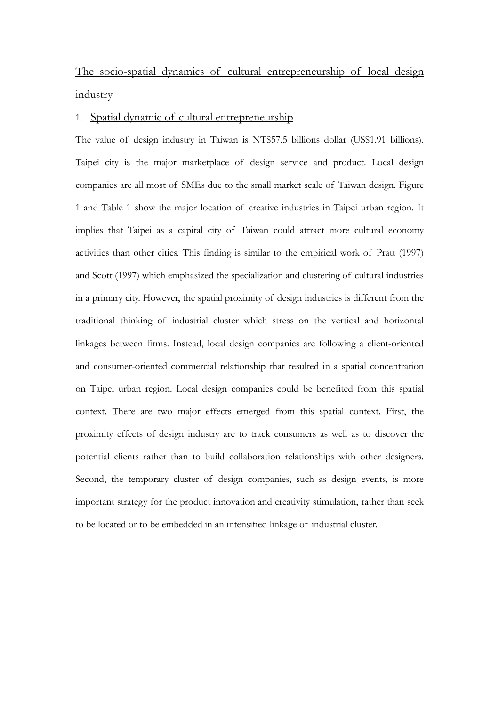## The socio-spatial dynamics of cultural entrepreneurship of local design industry

### 1. Spatial dynamic of cultural entrepreneurship

The value of design industry in Taiwan is NT\$57.5 billions dollar (US\$1.91 billions). Taipei city is the major marketplace of design service and product. Local design companies are all most of SMEs due to the small market scale of Taiwan design. Figure 1 and Table 1 show the major location of creative industries in Taipei urban region. It implies that Taipei as a capital city of Taiwan could attract more cultural economy activities than other cities. This finding is similar to the empirical work of Pratt (1997) and Scott (1997) which emphasized the specialization and clustering of cultural industries in a primary city. However, the spatial proximity of design industries is different from the traditional thinking of industrial cluster which stress on the vertical and horizontal linkages between firms. Instead, local design companies are following a client-oriented and consumer-oriented commercial relationship that resulted in a spatial concentration on Taipei urban region. Local design companies could be benefited from this spatial context. There are two major effects emerged from this spatial context. First, the proximity effects of design industry are to track consumers as well as to discover the potential clients rather than to build collaboration relationships with other designers. Second, the temporary cluster of design companies, such as design events, is more important strategy for the product innovation and creativity stimulation, rather than seek to be located or to be embedded in an intensified linkage of industrial cluster.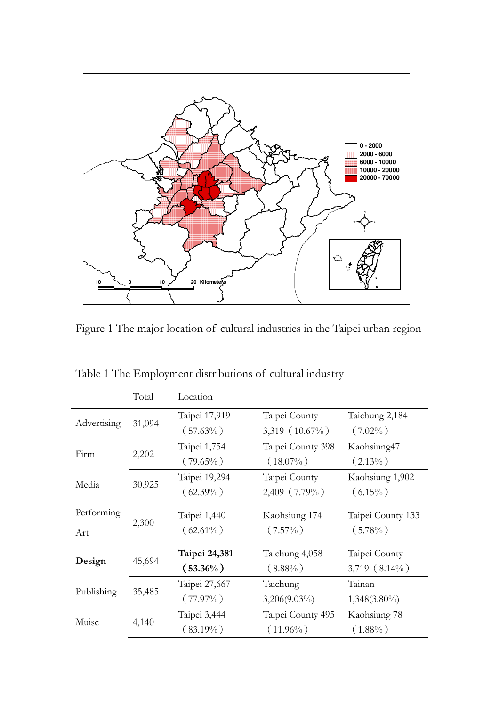

Figure 1 The major location of cultural industries in the Taipei urban region

|             | Total  | Location      |                    |                    |
|-------------|--------|---------------|--------------------|--------------------|
| Advertising | 31,094 | Taipei 17,919 | Taipei County      | Taichung 2,184     |
|             |        | $(57.63\%)$   | 3,319 $(10.67\%)$  | $(7.02\%)$         |
| Firm        | 2,202  | Taipei 1,754  | Taipei County 398  | Kaohsiung47        |
|             |        | $(79.65\%)$   | $(18.07\%)$        | $(2.13\%)$         |
| Media       | 30,925 | Taipei 19,294 | Taipei County      | Kaohsiung 1,902    |
|             |        | $(62.39\%)$   | $2,409$ $(7.79\%)$ | $(6.15\%)$         |
| Performing  | 2,300  | Taipei 1,440  | Kaohsiung 174      | Taipei County 133  |
| Art         |        | $(62.61\%)$   | $(7.57\%)$         | $(5.78\%)$         |
| Design      | 45,694 | Taipei 24,381 | Taichung 4,058     | Taipei County      |
|             |        | $(53.36\%)$   | $(8.88\%)$         | $3,719$ $(8.14\%)$ |
| Publishing  | 35,485 | Taipei 27,667 | Taichung           | Tainan             |
|             |        | $(77.97\%)$   | $3,206(9.03\%)$    | $1,348(3.80\%)$    |
| Muisc       | 4,140  | Taipei 3,444  | Taipei County 495  | Kaohsiung 78       |
|             |        | $(83.19\%)$   | $(11.96\%)$        | $(1.88\%)$         |

Table 1 The Employment distributions of cultural industry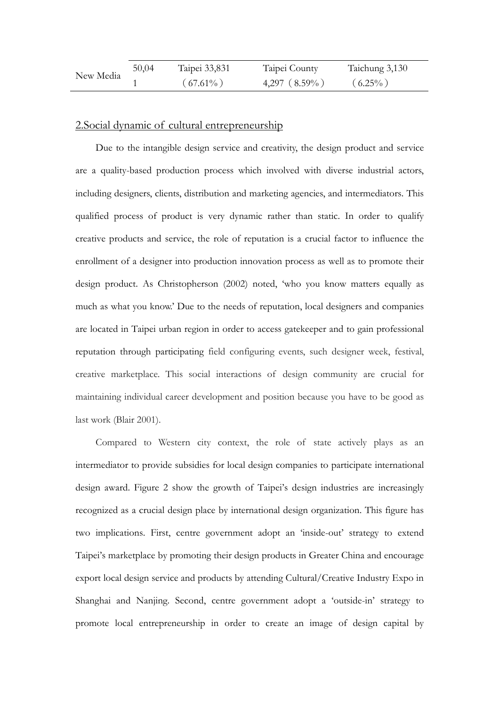| New Media | 50,04 | Taipei 33,831 | Taipei County   | Taichung 3,130 |
|-----------|-------|---------------|-----------------|----------------|
|           |       | $(67.61\%)$   | $4,297$ (8.59%) | $(6.25\%)$     |

### 2.Social dynamic of cultural entrepreneurship

Due to the intangible design service and creativity, the design product and service are a quality-based production process which involved with diverse industrial actors, including designers, clients, distribution and marketing agencies, and intermediators. This qualified process of product is very dynamic rather than static. In order to qualify creative products and service, the role of reputation is a crucial factor to influence the enrollment of a designer into production innovation process as well as to promote their design product. As Christopherson (2002) noted, 'who you know matters equally as much as what you know.' Due to the needs of reputation, local designers and companies are located in Taipei urban region in order to access gatekeeper and to gain professional reputation through participating field configuring events, such designer week, festival, creative marketplace. This social interactions of design community are crucial for maintaining individual career development and position because you have to be good as last work (Blair 2001).

Compared to Western city context, the role of state actively plays as an intermediator to provide subsidies for local design companies to participate international design award. Figure 2 show the growth of Taipei's design industries are increasingly recognized as a crucial design place by international design organization. This figure has two implications. First, centre government adopt an 'inside-out' strategy to extend Taipei's marketplace by promoting their design products in Greater China and encourage export local design service and products by attending Cultural/Creative Industry Expo in Shanghai and Nanjing. Second, centre government adopt a 'outside-in' strategy to promote local entrepreneurship in order to create an image of design capital by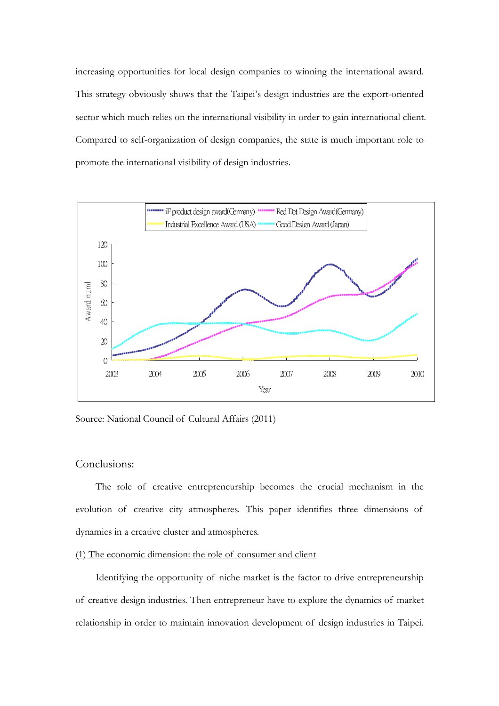increasing opportunities for local design companies to winning the international award. This strategy obviously shows that the Taipei's design industries are the export-oriented sector which much relies on the international visibility in order to gain international client. Compared to self-organization of design companies, the state is much important role to promote the international visibility of design industries.



Source: National Council of Cultural Affairs (2011)

### Conclusions:

The role of creative entrepreneurship becomes the crucial mechanism in the evolution of creative city atmospheres. This paper identifies three dimensions of dynamics in a creative cluster and atmospheres.

### (1) The economic dimension: the role of consumer and client

Identifying the opportunity of niche market is the factor to drive entrepreneurship of creative design industries. Then entrepreneur have to explore the dynamics of market relationship in order to maintain innovation development of design industries in Taipei.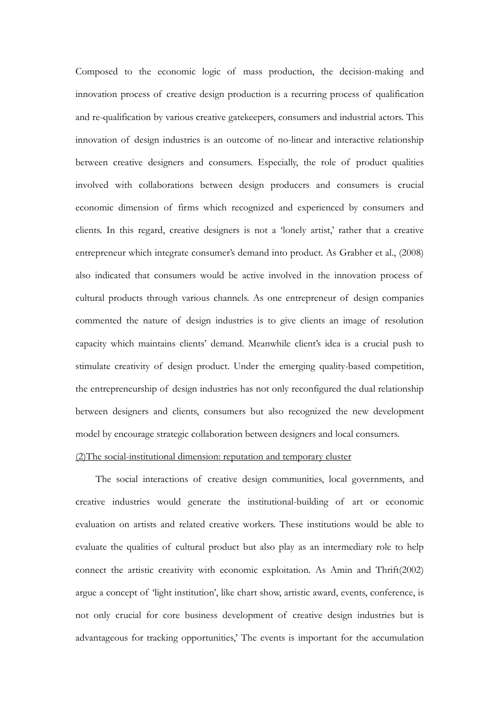Composed to the economic logic of mass production, the decision-making and innovation process of creative design production is a recurring process of qualification and re-qualification by various creative gatekeepers, consumers and industrial actors. This innovation of design industries is an outcome of no-linear and interactive relationship between creative designers and consumers. Especially, the role of product qualities involved with collaborations between design producers and consumers is crucial economic dimension of firms which recognized and experienced by consumers and clients. In this regard, creative designers is not a 'lonely artist,' rather that a creative entrepreneur which integrate consumer's demand into product. As Grabher et al., (2008) also indicated that consumers would be active involved in the innovation process of cultural products through various channels. As one entrepreneur of design companies commented the nature of design industries is to give clients an image of resolution capacity which maintains clients' demand. Meanwhile client's idea is a crucial push to stimulate creativity of design product. Under the emerging quality-based competition, the entrepreneurship of design industries has not only reconfigured the dual relationship between designers and clients, consumers but also recognized the new development model by encourage strategic collaboration between designers and local consumers.

### (2)The social-institutional dimension: reputation and temporary cluster

The social interactions of creative design communities, local governments, and creative industries would generate the institutional-building of art or economic evaluation on artists and related creative workers. These institutions would be able to evaluate the qualities of cultural product but also play as an intermediary role to help connect the artistic creativity with economic exploitation. As Amin and Thrift(2002) argue a concept of 'light institution', like chart show, artistic award, events, conference, is not only crucial for core business development of creative design industries but is advantageous for tracking opportunities,' The events is important for the accumulation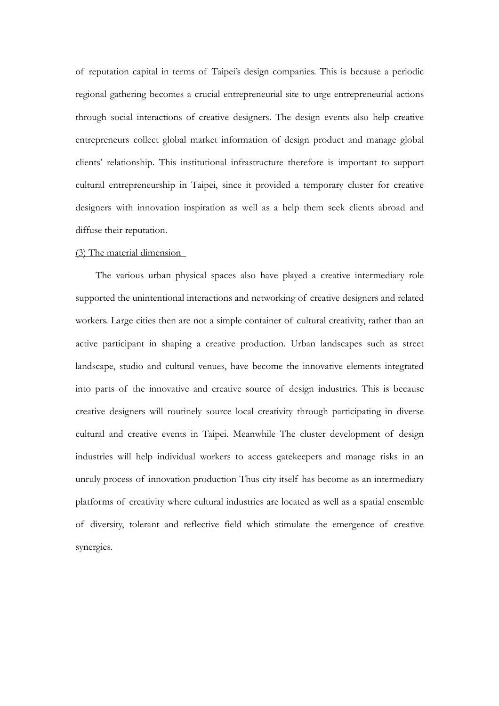of reputation capital in terms of Taipei's design companies. This is because a periodic regional gathering becomes a crucial entrepreneurial site to urge entrepreneurial actions through social interactions of creative designers. The design events also help creative entrepreneurs collect global market information of design product and manage global clients' relationship. This institutional infrastructure therefore is important to support cultural entrepreneurship in Taipei, since it provided a temporary cluster for creative designers with innovation inspiration as well as a help them seek clients abroad and diffuse their reputation.

### (3) The material dimension

The various urban physical spaces also have played a creative intermediary role supported the unintentional interactions and networking of creative designers and related workers. Large cities then are not a simple container of cultural creativity, rather than an active participant in shaping a creative production. Urban landscapes such as street landscape, studio and cultural venues, have become the innovative elements integrated into parts of the innovative and creative source of design industries. This is because creative designers will routinely source local creativity through participating in diverse cultural and creative events in Taipei. Meanwhile The cluster development of design industries will help individual workers to access gatekeepers and manage risks in an unruly process of innovation production Thus city itself has become as an intermediary platforms of creativity where cultural industries are located as well as a spatial ensemble of diversity, tolerant and reflective field which stimulate the emergence of creative synergies.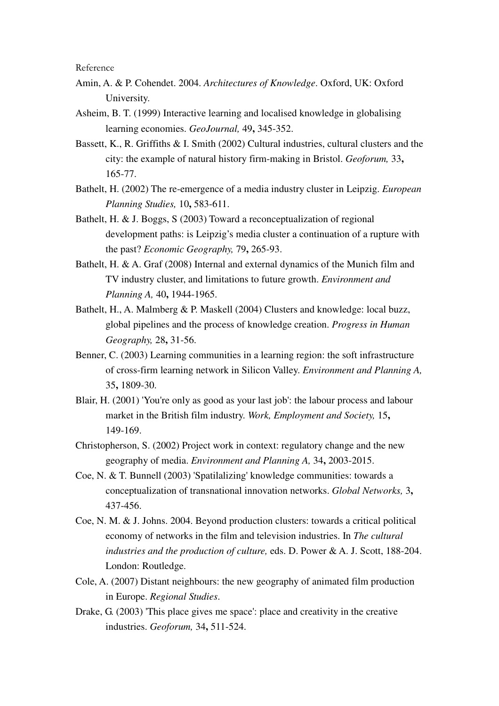Reference

- Amin, A. & P. Cohendet. 2004. *Architectures of Knowledge*. Oxford, UK: Oxford University.
- Asheim, B. T. (1999) Interactive learning and localised knowledge in globalising learning economies. *GeoJournal,* 49**,** 345-352.
- Bassett, K., R. Griffiths & I. Smith (2002) Cultural industries, cultural clusters and the city: the example of natural history firm-making in Bristol. *Geoforum,* 33**,** 165-77.
- Bathelt, H. (2002) The re-emergence of a media industry cluster in Leipzig. *European Planning Studies,* 10**,** 583-611.
- Bathelt, H. & J. Boggs, S (2003) Toward a reconceptualization of regional development paths: is Leipzig's media cluster a continuation of a rupture with the past? *Economic Geography,* 79**,** 265-93.
- Bathelt, H. & A. Graf (2008) Internal and external dynamics of the Munich film and TV industry cluster, and limitations to future growth. *Environment and Planning A,* 40**,** 1944-1965.
- Bathelt, H., A. Malmberg & P. Maskell (2004) Clusters and knowledge: local buzz, global pipelines and the process of knowledge creation. *Progress in Human Geography,* 28**,** 31-56.
- Benner, C. (2003) Learning communities in a learning region: the soft infrastructure of cross-firm learning network in Silicon Valley. *Environment and Planning A,* 35**,** 1809-30.
- Blair, H. (2001) 'You're only as good as your last job': the labour process and labour market in the British film industry. *Work, Employment and Society,* 15**,** 149-169.
- Christopherson, S. (2002) Project work in context: regulatory change and the new geography of media. *Environment and Planning A,* 34**,** 2003-2015.
- Coe, N. & T. Bunnell (2003) 'Spatilalizing' knowledge communities: towards a conceptualization of transnational innovation networks. *Global Networks,* 3**,** 437-456.
- Coe, N. M. & J. Johns. 2004. Beyond production clusters: towards a critical political economy of networks in the film and television industries. In *The cultural industries and the production of culture,* eds. D. Power & A. J. Scott, 188-204. London: Routledge.
- Cole, A. (2007) Distant neighbours: the new geography of animated film production in Europe. *Regional Studies*.
- Drake, G. (2003) 'This place gives me space': place and creativity in the creative industries. *Geoforum,* 34**,** 511-524.